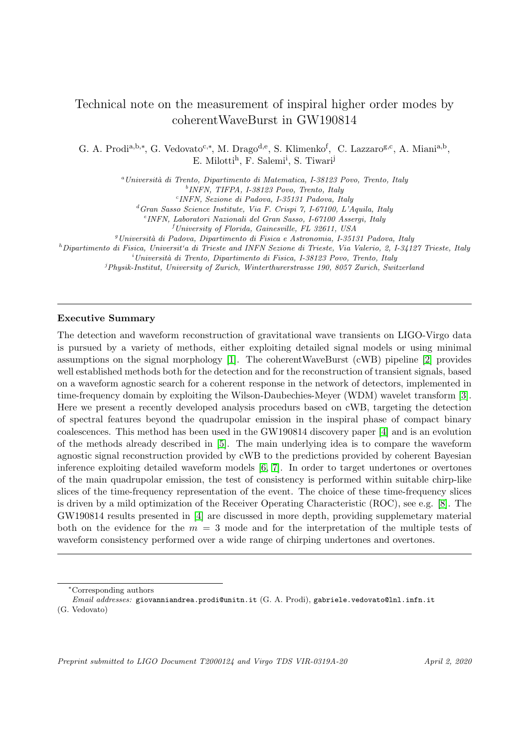# Technical note on the measurement of inspiral higher order modes by coherentWaveBurst in GW190814

G. A. Prodi<sup>a,b,\*</sup>, G. Vedovato<sup>c,\*</sup>, M. Drago<sup>d,e</sup>, S. Klimenko<sup>f</sup>, C. Lazzaro<sup>g,c</sup>, A. Miani<sup>a,b</sup>, E. Milotti<sup>h</sup>, F. Salemi<sup>i</sup>, S. Tiwari<sup>j</sup>

<sup>a</sup> Università di Trento, Dipartimento di Matematica, I-38123 Povo, Trento, Italy

b INFN, TIFPA, I-38123 Povo, Trento, Italy c INFN, Sezione di Padova, I-35131 Padova, Italy

 ${}^d$ Gran Sasso Science Institute, Via F. Crispi 7, I-67100, L'Aquila, Italy

e INFN, Laboratori Nazionali del Gran Sasso, I-67100 Assergi, Italy

 ${}^{f}$ University of Florida, Gainesville, FL 32611, USA

 $g$ Università di Padova, Dipartimento di Fisica e Astronomia, I-35131 Padova, Italy

 $h$ Dipartimento di Fisica, Universit'a di Trieste and INFN Sezione di Trieste, Via Valerio, 2, I-34127 Trieste, Italy

 $i$ Università di Trento, Dipartimento di Fisica, I-38123 Povo, Trento, Italy

 $j$ Physik-Institut, University of Zurich, Winterthurerstrasse 190, 8057 Zurich, Switzerland

## Executive Summary

The detection and waveform reconstruction of gravitational wave transients on LIGO-Virgo data is pursued by a variety of methods, either exploiting detailed signal models or using minimal assumptions on the signal morphology [\[1\]](#page-9-0). The coherentWaveBurst (cWB) pipeline [\[2\]](#page-9-1) provides well established methods both for the detection and for the reconstruction of transient signals, based on a waveform agnostic search for a coherent response in the network of detectors, implemented in time-frequency domain by exploiting the Wilson-Daubechies-Meyer (WDM) wavelet transform [\[3\]](#page-9-2). Here we present a recently developed analysis procedurs based on cWB, targeting the detection of spectral features beyond the quadrupolar emission in the inspiral phase of compact binary coalescences. This method has been used in the GW190814 discovery paper [\[4\]](#page-9-3) and is an evolution of the methods already described in [\[5\]](#page-9-4). The main underlying idea is to compare the waveform agnostic signal reconstruction provided by cWB to the predictions provided by coherent Bayesian inference exploiting detailed waveform models [\[6,](#page-10-0) [7\]](#page-10-1). In order to target undertones or overtones of the main quadrupolar emission, the test of consistency is performed within suitable chirp-like slices of the time-frequency representation of the event. The choice of these time-frequency slices is driven by a mild optimization of the Receiver Operating Characteristic (ROC), see e.g. [\[8\]](#page-10-2). The GW190814 results presented in [\[4\]](#page-9-3) are discussed in more depth, providing supplemetary material both on the evidence for the  $m = 3$  mode and for the interpretation of the multiple tests of waveform consistency performed over a wide range of chirping undertones and overtones.

<sup>∗</sup>Corresponding authors

Email addresses: giovanniandrea.prodi@unitn.it (G. A. Prodi), gabriele.vedovato@lnl.infn.it (G. Vedovato)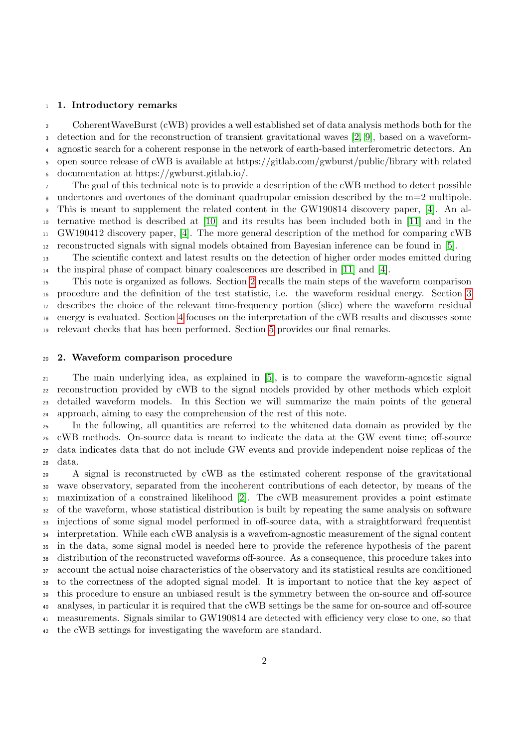#### 1. Introductory remarks

 CoherentWaveBurst (cWB) provides a well established set of data analysis methods both for the detection and for the reconstruction of transient gravitational waves [\[2,](#page-9-1) [9\]](#page-10-3), based on a waveform- agnostic search for a coherent response in the network of earth-based interferometric detectors. An open source release of cWB is available at https://gitlab.com/gwburst/public/library with related documentation at https://gwburst.gitlab.io/.

 The goal of this technical note is to provide a description of the cWB method to detect possible undertones and overtones of the dominant quadrupolar emission described by the m=2 multipole. This is meant to supplement the related content in the GW190814 discovery paper, [\[4\]](#page-9-3). An al- ternative method is described at [\[10\]](#page-10-4) and its results has been included both in [\[11\]](#page-10-5) and in the GW190412 discovery paper, [\[4\]](#page-9-3). The more general description of the method for comparing cWB reconstructed signals with signal models obtained from Bayesian inference can be found in [\[5\]](#page-9-4).

 The scientific context and latest results on the detection of higher order modes emitted during the inspiral phase of compact binary coalescences are described in [\[11\]](#page-10-5) and [\[4\]](#page-9-3).

 This note is organized as follows. Section [2](#page-1-0) recalls the main steps of the waveform comparison procedure and the definition of the test statistic, i.e. the waveform residual energy. Section [3](#page-3-0) describes the choice of the relevant time-frequency portion (slice) where the waveform residual energy is evaluated. Section [4](#page-5-0) focuses on the interpretation of the cWB results and discusses some relevant checks that has been performed. Section [5](#page-7-0) provides our final remarks.

## <span id="page-1-0"></span>2. Waveform comparison procedure

 The main underlying idea, as explained in [\[5\]](#page-9-4), is to compare the waveform-agnostic signal reconstruction provided by cWB to the signal models provided by other methods which exploit detailed waveform models. In this Section we will summarize the main points of the general approach, aiming to easy the comprehension of the rest of this note.

 In the following, all quantities are referred to the whitened data domain as provided by the cWB methods. On-source data is meant to indicate the data at the GW event time; off-source data indicates data that do not include GW events and provide independent noise replicas of the data.

 A signal is reconstructed by cWB as the estimated coherent response of the gravitational wave observatory, separated from the incoherent contributions of each detector, by means of the maximization of a constrained likelihood [\[2\]](#page-9-1). The cWB measurement provides a point estimate of the waveform, whose statistical distribution is built by repeating the same analysis on software injections of some signal model performed in off-source data, with a straightforward frequentist interpretation. While each cWB analysis is a wavefrom-agnostic measurement of the signal content in the data, some signal model is needed here to provide the reference hypothesis of the parent distribution of the reconstructed waveforms off-source. As a consequence, this procedure takes into account the actual noise characteristics of the observatory and its statistical results are conditioned to the correctness of the adopted signal model. It is important to notice that the key aspect of this procedure to ensure an unbiased result is the symmetry between the on-source and off-source analyses, in particular it is required that the cWB settings be the same for on-source and off-source measurements. Signals similar to GW190814 are detected with efficiency very close to one, so that the cWB settings for investigating the waveform are standard.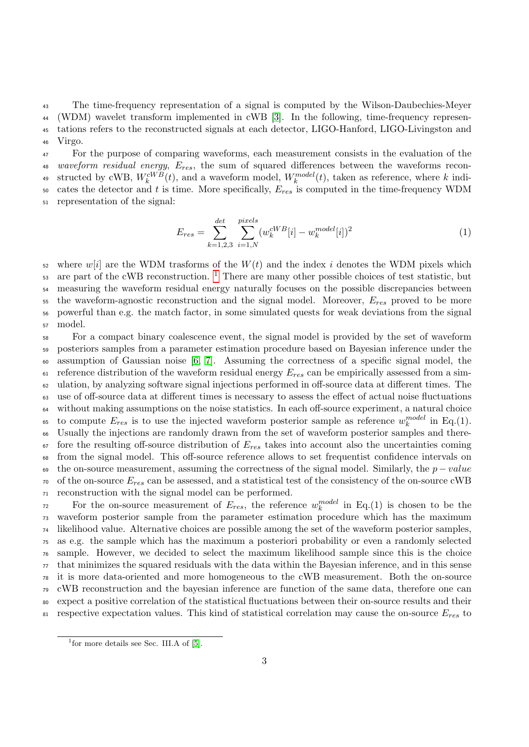The time-frequency representation of a signal is computed by the Wilson-Daubechies-Meyer (WDM) wavelet transform implemented in cWB [\[3\]](#page-9-2). In the following, time-frequency represen- tations refers to the reconstructed signals at each detector, LIGO-Hanford, LIGO-Livingston and <sup>46</sup> Virgo.

<sup>47</sup> For the purpose of comparing waveforms, each measurement consists in the evaluation of the 48 waveform residual energy,  $E_{res}$ , the sum of squared differences between the waveforms recon-<sup>49</sup> structed by cWB,  $W_k^{cWB}(t)$ , and a waveform model,  $W_k^{model}(t)$ , taken as reference, where k indi-50 cates the detector and t is time. More specifically,  $E_{res}$  is computed in the time-frequency WDM <sup>51</sup> representation of the signal:

$$
E_{res} = \sum_{k=1,2,3}^{det} \sum_{i=1,N}^{pixels} (w_k^{cWB}[i] - w_k^{model}[i])^2
$$
 (1)

 where w[i] are the WDM trasforms of the  $W(t)$  and the index i denotes the WDM pixels which are part of the cWB reconstruction. <sup>[1](#page-2-0)</sup> There are many other possible choices of test statistic, but measuring the waveform residual energy naturally focuses on the possible discrepancies between the waveform-agnostic reconstruction and the signal model. Moreover,  $E_{res}$  proved to be more powerful than e.g. the match factor, in some simulated quests for weak deviations from the signal <sup>57</sup> model.

 For a compact binary coalescence event, the signal model is provided by the set of waveform posteriors samples from a parameter estimation procedure based on Bayesian inference under the  $\omega$  assumption of Gaussian noise [\[6,](#page-10-0) [7\]](#page-10-1). Assuming the correctness of a specific signal model, the reference distribution of the waveform residual energy  $E_{res}$  can be empirically assessed from a sim- ulation, by analyzing software signal injections performed in off-source data at different times. The use of off-source data at different times is necessary to assess the effect of actual noise fluctuations without making assumptions on the noise statistics. In each off-source experiment, a natural choice to compute  $E_{res}$  is to use the injected waveform posterior sample as reference  $w_k^{model}$  in Eq.(1). Usually the injections are randomly drawn from the set of waveform posterior samples and there- fore the resulting off-source distribution of  $E_{res}$  takes into account also the uncertainties coming from the signal model. This off-source reference allows to set frequentist confidence intervals on 69 the on-source measurement, assuming the correctness of the signal model. Similarly, the  $p-value$  of the on-source  $E_{res}$  can be assessed, and a statistical test of the consistency of the on-source cWB reconstruction with the signal model can be performed.

For the on-source measurement of  $E_{res}$ , the reference  $w_k^{model}$  in Eq.(1) is chosen to be the waveform posterior sample from the parameter estimation procedure which has the maximum likelihood value. Alternative choices are possible among the set of the waveform posterior samples, as e.g. the sample which has the maximum a posteriori probability or even a randomly selected sample. However, we decided to select the maximum likelihood sample since this is the choice that minimizes the squared residuals with the data within the Bayesian inference, and in this sense it is more data-oriented and more homogeneous to the cWB measurement. Both the on-source cWB reconstruction and the bayesian inference are function of the same data, therefore one can expect a positive correlation of the statistical fluctuations between their on-source results and their respective expectation values. This kind of statistical correlation may cause the on-source  $E_{res}$  to

<span id="page-2-0"></span><sup>&</sup>lt;sup>1</sup> for more details see Sec. III.A of [\[5\]](#page-9-4).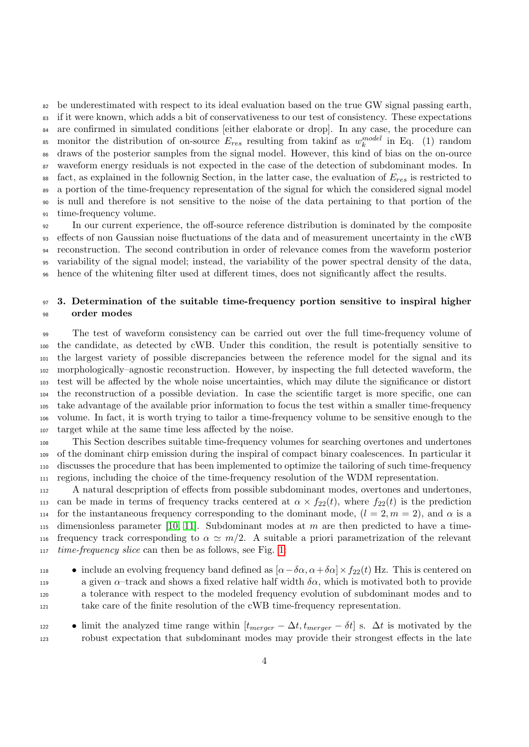be underestimated with respect to its ideal evaluation based on the true GW signal passing earth, if it were known, which adds a bit of conservativeness to our test of consistency. These expectations <sup>84</sup> are confirmed in simulated conditions [either elaborate or drop]. In any case, the procedure can <sup>85</sup> monitor the distribution of on-source  $E_{res}$  resulting from takinf as  $w_k^{model}$  in Eq. (1) random draws of the posterior samples from the signal model. However, this kind of bias on the on-ource waveform energy residuals is not expected in the case of the detection of subdominant modes. In 88 fact, as explained in the follownig Section, in the latter case, the evaluation of  $E_{res}$  is restricted to a portion of the time-frequency representation of the signal for which the considered signal model is null and therefore is not sensitive to the noise of the data pertaining to that portion of the time-frequency volume.

 In our current experience, the off-source reference distribution is dominated by the composite effects of non Gaussian noise fluctuations of the data and of measurement uncertainty in the cWB reconstruction. The second contribution in order of relevance comes from the waveform posterior variability of the signal model; instead, the variability of the power spectral density of the data, hence of the whitening filter used at different times, does not significantly affect the results.

# <span id="page-3-0"></span>97 3. Determination of the suitable time-frequency portion sensitive to inspiral higher order modes

 The test of waveform consistency can be carried out over the full time-frequency volume of the candidate, as detected by cWB. Under this condition, the result is potentially sensitive to the largest variety of possible discrepancies between the reference model for the signal and its morphologically–agnostic reconstruction. However, by inspecting the full detected waveform, the test will be affected by the whole noise uncertainties, which may dilute the significance or distort the reconstruction of a possible deviation. In case the scientific target is more specific, one can take advantage of the available prior information to focus the test within a smaller time-frequency volume. In fact, it is worth trying to tailor a time-frequency volume to be sensitive enough to the target while at the same time less affected by the noise.

 This Section describes suitable time-frequency volumes for searching overtones and undertones of the dominant chirp emission during the inspiral of compact binary coalescences. In particular it discusses the procedure that has been implemented to optimize the tailoring of such time-frequency regions, including the choice of the time-frequency resolution of the WDM representation.

 A natural descpription of effects from possible subdominant modes, overtones and undertones, 113 can be made in terms of frequency tracks centered at  $\alpha \times f_{22}(t)$ , where  $f_{22}(t)$  is the prediction 114 for the instantaneous frequency corresponding to the dominant mode,  $(l = 2, m = 2)$ , and  $\alpha$  is a 115 dimensionless parameter [\[10,](#page-10-4) [11\]](#page-10-5). Subdominant modes at m are then predicted to have a time-116 frequency track corresponding to  $\alpha \simeq m/2$ . A suitable a priori parametrization of the relevant *time-frequency slice* can then be as follows, see Fig. [1:](#page-4-0)

- include an evolving frequency band defined as  $[α-δα, α+δα] × f_{22}(t)$  Hz. This is centered on 119 a given  $\alpha$ –track and shows a fixed relative half width  $\delta \alpha$ , which is motivated both to provide a tolerance with respect to the modeled frequency evolution of subdominant modes and to take care of the finite resolution of the cWB time-frequency representation.
- limit the analyzed time range within  $[t_{merger} \Delta t, t_{merger} \delta t]$  s.  $\Delta t$  is motivated by the robust expectation that subdominant modes may provide their strongest effects in the late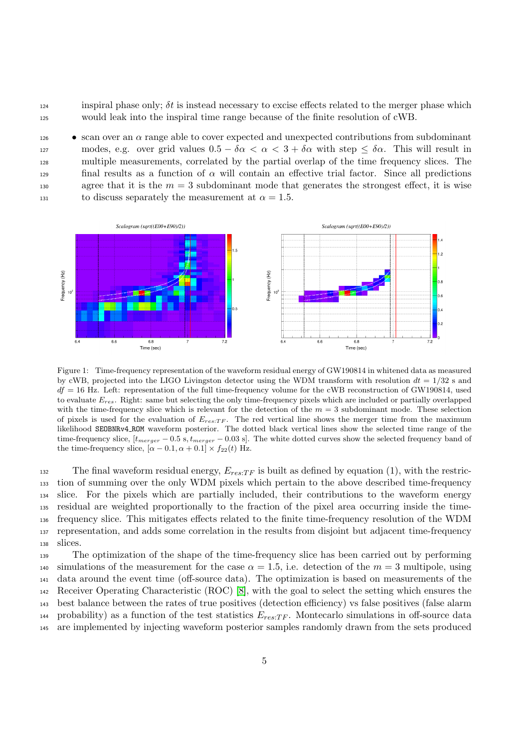$124$  inspiral phase only;  $\delta t$  is instead necessary to excise effects related to the merger phase which <sup>125</sup> would leak into the inspiral time range because of the finite resolution of cWB.

 $\bullet$  scan over an  $\alpha$  range able to cover expected and unexpected contributions from subdominant 127 modes, e.g. over grid values  $0.5 - \delta \alpha < \alpha < 3 + \delta \alpha$  with step  $\leq \delta \alpha$ . This will result in <sup>128</sup> multiple measurements, correlated by the partial overlap of the time frequency slices. The final results as a function of  $\alpha$  will contain an effective trial factor. Since all predictions 130 agree that it is the  $m = 3$  subdominant mode that generates the strongest effect, it is wise 131 to discuss separately the measurement at  $\alpha = 1.5$ .



<span id="page-4-0"></span>Figure 1: Time-frequency representation of the waveform residual energy of GW190814 in whitened data as measured by cWB, projected into the LIGO Livingston detector using the WDM transform with resolution  $dt = 1/32$  s and  $df = 16$  Hz. Left: representation of the full time-frequency volume for the cWB reconstruction of GW190814, used to evaluate  $E_{res}$ . Right: same but selecting the only time-frequency pixels which are included or partially overlapped with the time-frequency slice which is relevant for the detection of the  $m = 3$  subdominant mode. These selection of pixels is used for the evaluation of  $E_{res:TF}$ . The red vertical line shows the merger time from the maximum likelihood SEOBNRv4 ROM waveform posterior. The dotted black vertical lines show the selected time range of the time-frequency slice,  $[t_{merger} - 0.5 \text{ s}, t_{merger} - 0.03 \text{ s}]$ . The white dotted curves show the selected frequency band of the time-frequency slice,  $[\alpha - 0.1, \alpha + 0.1] \times f_{22}(t)$  Hz.

132 The final waveform residual energy,  $E_{res;TF}$  is built as defined by equation (1), with the restric- tion of summing over the only WDM pixels which pertain to the above described time-frequency slice. For the pixels which are partially included, their contributions to the waveform energy residual are weighted proportionally to the fraction of the pixel area occurring inside the time- frequency slice. This mitigates effects related to the finite time-frequency resolution of the WDM representation, and adds some correlation in the results from disjoint but adjacent time-frequency <sup>138</sup> slices.

 The optimization of the shape of the time-frequency slice has been carried out by performing 140 simulations of the measurement for the case  $\alpha = 1.5$ , i.e. detection of the  $m = 3$  multipole, using data around the event time (off-source data). The optimization is based on measurements of the Receiver Operating Characteristic (ROC) [\[8\]](#page-10-2), with the goal to select the setting which ensures the best balance between the rates of true positives (detection efficiency) vs false positives (false alarm 144 probability) as a function of the test statistics  $E_{res:TF}$ . Montecarlo simulations in off-source data are implemented by injecting waveform posterior samples randomly drawn from the sets produced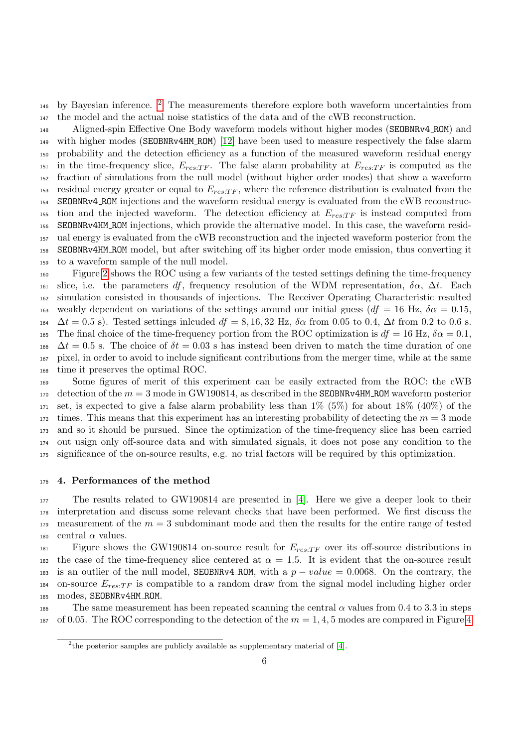$_{146}$  by Bayesian inference. <sup>[2](#page-5-1)</sup> The measurements therefore explore both waveform uncertainties from <sup>147</sup> the model and the actual noise statistics of the data and of the cWB reconstruction.

 Aligned-spin Effective One Body waveform models without higher modes (SEOBNRv4 ROM) and with higher modes (SEOBNRv4HM ROM) [\[12\]](#page-10-6) have been used to measure respectively the false alarm probability and the detection efficiency as a function of the measured waveform residual energy <sup>151</sup> in the time-frequency slice,  $E_{res;TF}$ . The false alarm probability at  $E_{res;TF}$  is computed as the fraction of simulations from the null model (without higher order modes) that show a waveform 153 residual energy greater or equal to  $E_{res;TF}$ , where the reference distribution is evaluated from the SEOBNRv4 ROM injections and the waveform residual energy is evaluated from the cWB reconstruc-155 tion and the injected waveform. The detection efficiency at  $E_{res:TF}$  is instead computed from SEOBNRv4HM ROM injections, which provide the alternative model. In this case, the waveform resid- ual energy is evaluated from the cWB reconstruction and the injected waveform posterior from the SEOBNRv4HM ROM model, but after switching off its higher order mode emission, thus converting it to a waveform sample of the null model.

 Figure [2](#page-6-0) shows the ROC using a few variants of the tested settings defining the time-frequency 161 slice, i.e. the parameters df, frequency resolution of the WDM representation,  $\delta \alpha$ ,  $\Delta t$ . Each simulation consisted in thousands of injections. The Receiver Operating Characteristic resulted 163 weakly dependent on variations of the settings around our initial guess ( $df = 16$  Hz,  $\delta \alpha = 0.15$ ,  $\Delta t = 0.5$  s). Tested settings inlcuded  $df = 8, 16, 32$  Hz,  $\delta \alpha$  from 0.05 to 0.4,  $\Delta t$  from 0.2 to 0.6 s. 165 The final choice of the time-frequency portion from the ROC optimization is  $df = 16$  Hz,  $\delta \alpha = 0.1$ ,  $\Delta t = 0.5$  s. The choice of  $\delta t = 0.03$  s has instead been driven to match the time duration of one pixel, in order to avoid to include significant contributions from the merger time, while at the same time it preserves the optimal ROC.

 Some figures of merit of this experiment can be easily extracted from the ROC: the cWB detection of the  $m = 3$  mode in GW190814, as described in the SEOBNRv4HM\_ROM waveform posterior set, is expected to give a false alarm probability less than  $1\%$  (5%) for about  $18\%$  (40%) of the times. This means that this experiment has an interesting probability of detecting the  $m = 3$  mode and so it should be pursued. Since the optimization of the time-frequency slice has been carried out usign only off-source data and with simulated signals, it does not pose any condition to the significance of the on-source results, e.g. no trial factors will be required by this optimization.

## <span id="page-5-0"></span><sup>176</sup> 4. Performances of the method

<sup>177</sup> The results related to GW190814 are presented in [\[4\]](#page-9-3). Here we give a deeper look to their <sup>178</sup> interpretation and discuss some relevant checks that have been performed. We first discuss the 179 measurement of the  $m = 3$  subdominant mode and then the results for the entire range of tested 180 central  $\alpha$  values.

 $F_{res:TF}$  over its off-source distributions in 182 the case of the time-frequency slice centered at  $\alpha = 1.5$ . It is evident that the on-source result 183 is an outlier of the null model, SEOBNRv4\_ROM, with a  $p-value = 0.0068$ . On the contrary, the  $184$  on-source  $E_{res:TF}$  is compatible to a random draw from the signal model including higher order 185 modes, SEOBNRv4HM\_ROM.

186 The same measurement has been repeated scanning the central  $\alpha$  values from 0.4 to 3.3 in steps 187 of 0.05. The ROC corresponding to the detection of the  $m = 1, 4, 5$  $m = 1, 4, 5$  $m = 1, 4, 5$  modes are compared in Figure 4

<span id="page-5-1"></span><sup>&</sup>lt;sup>2</sup>the posterior samples are publicly available as supplementary material of [\[4\]](#page-9-3).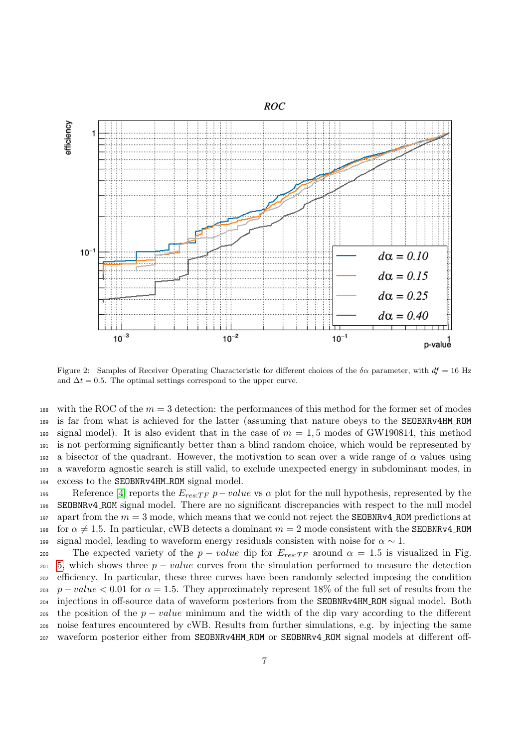

<span id="page-6-0"></span>Figure 2: Samples of Receiver Operating Characteristic for different choices of the  $\delta \alpha$  parameter, with  $df = 16$  Hz and  $\Delta t = 0.5$ . The optimal settings correspond to the upper curve.

188 with the ROC of the  $m = 3$  detection: the performances of this method for the former set of modes <sup>189</sup> is far from what is achieved for the latter (assuming that nature obeys to the SEOBNRv4HM ROM 190 signal model). It is also evident that in the case of  $m = 1.5$  modes of GW190814, this method <sup>191</sup> is not performing significantly better than a blind random choice, which would be represented by 192 a bisector of the quadrant. However, the motivation to scan over a wide range of  $\alpha$  values using <sup>193</sup> a waveform agnostic search is still valid, to exclude unexpected energy in subdominant modes, in <sup>194</sup> excess to the SEOBNRv4HM ROM signal model.

195 Reference [\[4\]](#page-9-3) reports the  $E_{res:TF}$  p – value vs  $\alpha$  plot for the null hypothesis, represented by the <sup>196</sup> SEOBNRv4 ROM signal model. There are no significant discrepancies with respect to the null model 197 apart from the  $m = 3$  mode, which means that we could not reject the **SEOBNRv4\_ROM** predictions at 198 for  $\alpha \neq 1.5$ . In particular, cWB detects a dominant  $m = 2$  mode consistent with the SEOBNRv4\_ROM 199 signal model, leading to waveform energy residuals consisten with noise for  $\alpha \sim 1$ .

200 The expected variety of the  $p-value$  dip for  $E_{res;TF}$  around  $\alpha = 1.5$  is visualized in Fig. [5,](#page-9-5) which shows three  $p-value$  curves from the simulation performed to measure the detection efficiency. In particular, these three curves have been randomly selected imposing the condition 203 p – value < 0.01 for  $\alpha = 1.5$ . They approximately represent 18% of the full set of results from the injections in off-source data of waveform posteriors from the SEOBNRv4HM ROM signal model. Both 205 the position of the  $p - value$  minimum and the width of the dip vary according to the different noise features encountered by cWB. Results from further simulations, e.g. by injecting the same waveform posterior either from SEOBNRv4HM ROM or SEOBNRv4 ROM signal models at different off-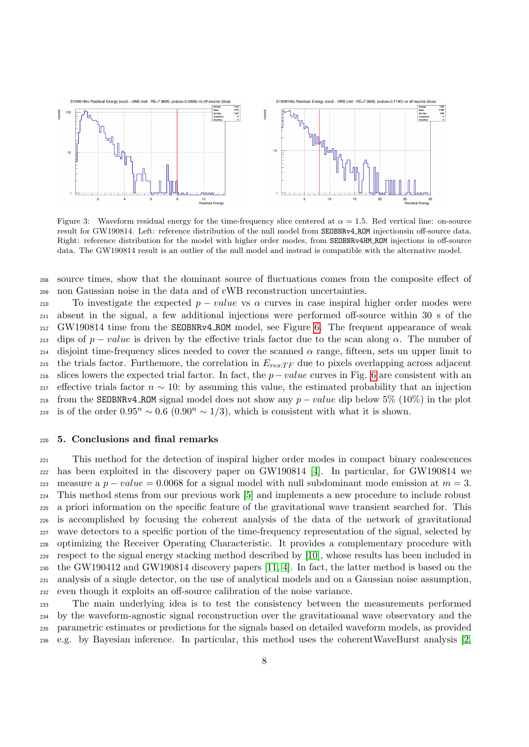

Figure 3: Waveform residual energy for the time-frequency slice centered at  $\alpha = 1.5$ . Red vertical line: on-source result for GW190814. Left: reference distribution of the null model from SEOBNRv4 ROM injectionsin off-source data. Right: reference distribution for the model with higher order modes, from SEOBNRv4HM ROM injections in off-source data. The GW190814 result is an outlier of the null model and instead is compatible with the alternative model.

 source times, show that the dominant source of fluctuations comes from the composite effect of non Gaussian noise in the data and of cWB reconstruction uncertainties.

210 To investigate the expected  $p - value$  vs  $\alpha$  curves in case inspiral higher order modes were absent in the signal, a few additional injections were performed off-source within 30 s of the GW190814 time from the SEOBNRv4 ROM model, see Figure [6.](#page-10-7) The frequent appearance of weak 213 dips of  $p-value$  is driven by the effective trials factor due to the scan along  $\alpha$ . The number of  $_{214}$  disjoint time-frequency slices needed to cover the scanned  $\alpha$  range, fifteen, sets un upper limit to 215 the trials factor. Furthemore, the correlation in  $E_{res:TF}$  due to pixels overlapping across adjacent 216 slices lowers the expected trial factor. In fact, the  $p-value$  curves in Fig. [6](#page-10-7) are consistent with an 217 effective trials factor  $n \sim 10$ : by assuming this value, the estimated probability that an injection 218 from the SEOBNRv4\_ROM signal model does not show any  $p-value$  dip below 5% (10%) in the plot 219 is of the order  $0.95^n$  ∼  $0.6$   $(0.90^n \sim 1/3)$ , which is consistent with what it is shown.

## <span id="page-7-0"></span>5. Conclusions and final remarks

 This method for the detection of inspiral higher order modes in compact binary coalescences has been exploited in the discovery paper on GW190814 [\[4\]](#page-9-3). In particular, for GW190814 we 223 measure a  $p-value = 0.0068$  for a signal model with null subdominant mode emission at  $m = 3$ . This method stems from our previous work [\[5\]](#page-9-4) and implements a new procedure to include robust a priori information on the specific feature of the gravitational wave transient searched for. This is accomplished by focusing the coherent analysis of the data of the network of gravitational wave detectors to a specific portion of the time-frequency representation of the signal, selected by optimizing the Receiver Operating Characteristic. It provides a complementary procedure with respect to the signal energy stacking method described by [\[10\]](#page-10-4), whose results has been included in the GW190412 and GW190814 discovery papers [\[11,](#page-10-5) [4\]](#page-9-3). In fact, the latter method is based on the analysis of a single detector, on the use of analytical models and on a Gaussian noise assumption, even though it exploits an off-source calibration of the noise variance.

 The main underlying idea is to test the consistency between the measurements performed by the waveform-agnostic signal reconstruction over the gravitatioanal wave observatory and the parametric estimates or predictions for the signals based on detailed waveform models, as provided e.g. by Bayesian inference. In particular, this method uses the coherentWaveBurst analysis [\[2,](#page-9-1)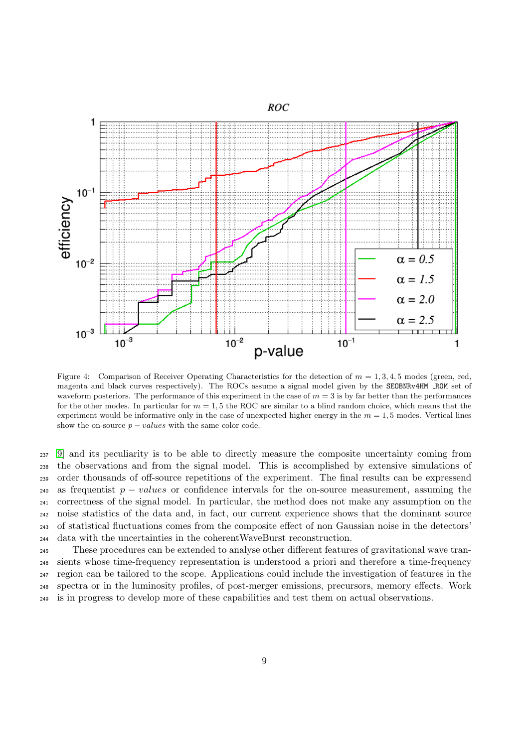

<span id="page-8-0"></span>Figure 4: Comparison of Receiver Operating Characteristics for the detection of  $m = 1, 3, 4, 5$  modes (green, red, magenta and black curves respectively). The ROCs assume a signal model given by the SEOBNRv4HM ROM set of waveform posteriors. The performance of this experiment in the case of  $m = 3$  is by far better than the performances for the other modes. In particular for  $m = 1.5$  the ROC are similar to a blind random choice, which means that the experiment would be informative only in the case of unexpected higher energy in the  $m = 1, 5$  modes. Vertical lines show the on-source  $p - values$  with the same color code.

 [9\]](#page-10-3) and its peculiarity is to be able to directly measure the composite uncertainty coming from the observations and from the signal model. This is accomplished by extensive simulations of order thousands of off-source repetitions of the experiment. The final results can be expressend 240 as frequentist  $p - values$  or confidence intervals for the on-source measurement, assuming the correctness of the signal model. In particular, the method does not make any assumption on the noise statistics of the data and, in fact, our current experience shows that the dominant source of statistical fluctuations comes from the composite effect of non Gaussian noise in the detectors' data with the uncertainties in the coherentWaveBurst reconstruction.

 These procedures can be extended to analyse other different features of gravitational wave tran- sients whose time-frequency representation is understood a priori and therefore a time-frequency region can be tailored to the scope. Applications could include the investigation of features in the spectra or in the luminosity profiles, of post-merger emissions, precursors, memory effects. Work is in progress to develop more of these capabilities and test them on actual observations.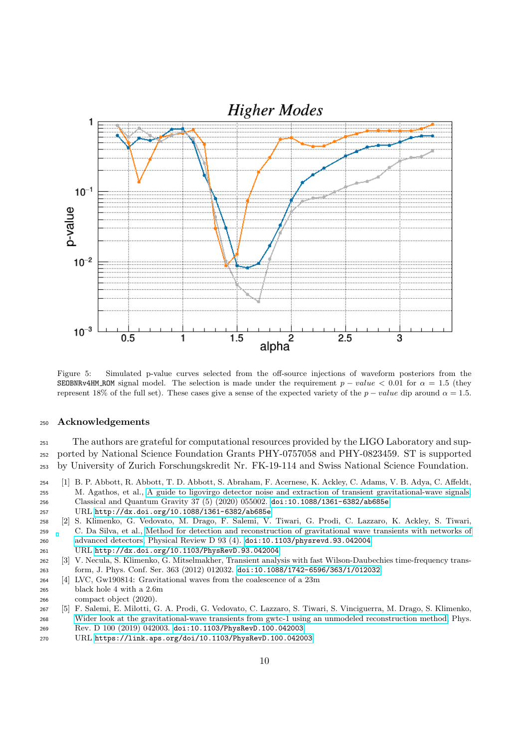

<span id="page-9-5"></span>Figure 5: Simulated p-value curves selected from the off-source injections of waveform posteriors from the SEOBNRv4HM\_ROM signal model. The selection is made under the requirement  $p - value < 0.01$  for  $\alpha = 1.5$  (they represent 18% of the full set). These cases give a sense of the expected variety of the  $p-value$  dip around  $\alpha = 1.5$ .

## Acknowledgements

 The authors are grateful for computational resources provided by the LIGO Laboratory and sup- ported by National Science Foundation Grants PHY-0757058 and PHY-0823459. ST is supported by University of Zurich Forschungskredit Nr. FK-19-114 and Swiss National Science Foundation.

- <span id="page-9-0"></span> [1] B. P. Abbott, R. Abbott, T. D. Abbott, S. Abraham, F. Acernese, K. Ackley, C. Adams, V. B. Adya, C. Affeldt, M. Agathos, et al., [A guide to ligovirgo detector noise and extraction of transient gravitational-wave signals,](http://dx.doi.org/10.1088/1361-6382/ab685e) Classical and Quantum Gravity 37 (5) (2020) 055002. [doi:10.1088/1361-6382/ab685e](http://dx.doi.org/10.1088/1361-6382/ab685e). URL <http://dx.doi.org/10.1088/1361-6382/ab685e>
- <span id="page-9-1"></span> [2] S. Klimenko, G. Vedovato, M. Drago, F. Salemi, V. Tiwari, G. Prodi, C. Lazzaro, K. Ackley, S. Tiwari, C. Da Silva, et al., [Method for detection and reconstruction of gravitational wave transients with networks of](http://dx.doi.org/10.1103/PhysRevD.93.042004) [advanced detectors,](http://dx.doi.org/10.1103/PhysRevD.93.042004) Physical Review D 93 (4). [doi:10.1103/physrevd.93.042004](http://dx.doi.org/10.1103/physrevd.93.042004). URL <http://dx.doi.org/10.1103/PhysRevD.93.042004>
- <span id="page-9-2"></span> [3] V. Necula, S. Klimenko, G. Mitselmakher, Transient analysis with fast Wilson-Daubechies time-frequency trans-form, J. Phys. Conf. Ser. 363 (2012) 012032. [doi:10.1088/1742-6596/363/1/012032](http://dx.doi.org/10.1088/1742-6596/363/1/012032).
- <span id="page-9-3"></span> [4] LVC, Gw190814: Gravitational waves from the coalescence of a 23m black hole 4 with a 2.6m
- compact object (2020).
- <span id="page-9-4"></span> [5] F. Salemi, E. Milotti, G. A. Prodi, G. Vedovato, C. Lazzaro, S. Tiwari, S. Vinciguerra, M. Drago, S. Klimenko, [Wider look at the gravitational-wave transients from gwtc-1 using an unmodeled reconstruction method,](https://link.aps.org/doi/10.1103/PhysRevD.100.042003) Phys. Rev. D 100 (2019) 042003. [doi:10.1103/PhysRevD.100.042003](http://dx.doi.org/10.1103/PhysRevD.100.042003).
- URL <https://link.aps.org/doi/10.1103/PhysRevD.100.042003>